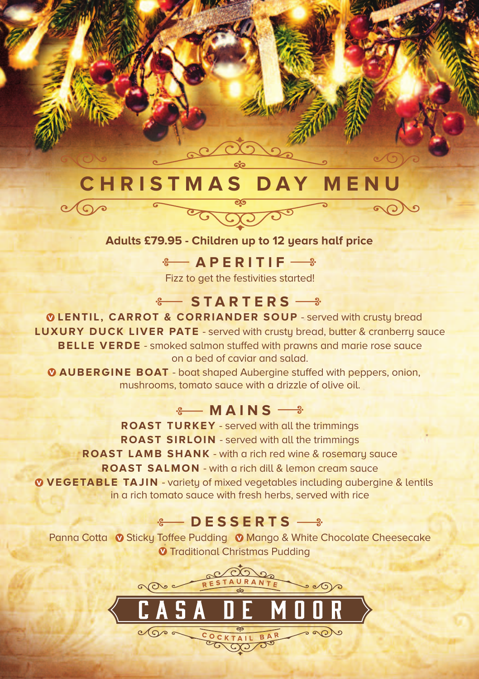# **C H R I S T M A S D A Y M E N U**

 $\sqrt{2}$ 

#### **Adults £79.95 - Children up to 12 years half price**

 $\frac{1}{2}$  **APERITIF** Fizz to get the festivities started!

## $\frac{1}{2}$  **STARTERS**  $\frac{1}{2}$

**LENTIL, CARROT & CORRIANDER SOUP** - served with crusty bread **v LUXURY DUCK LIVER PATE** - served with crusty bread, butter & cranberry sauce **BELLE VERDE** - smoked salmon stuffed with prawns and marie rose sauce on a bed of caviar and salad.

**AUBERGINE BOAT** - boat shaped Aubergine stuffed with peppers, onion, **v** mushrooms, tomato sauce with a drizzle of olive oil.

#### $\frac{1}{2}$  **MAINS**  $\frac{1}{2}$

**ROAST TURKEY** - served with all the trimmings **ROAST SIRLOIN** - served with all the trimmings **ROAST LAMB SHANK** - with a rich red wine & rosemary sauce **ROAST SALMON** - with a rich dill & lemon cream sauce **VEGETABLE TAJ IN** - variety of mixed vegetables including aubergine & lentils **v** in a rich tomato sauce with fresh herbs, served with rice

### $\div$  **DESSERTS**  $\rightarrow$

Panna Cotta <sup>O</sup> Sticky Toffee Pudding O Mango & White Chocolate Cheesecake **v** Traditional Christmas Pudding